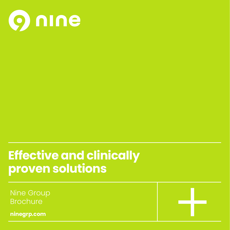

# **Effective and clinically proven solutions**

Nine Group Brochure

**ninegrp.com**

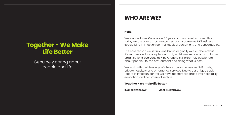# **Together - We Make Life Better**

Genuinely caring about people and life

## **WHO ARE WE?**

## **Hello,**

We founded Nine Group over 20 years ago and are honoured that today we are a very much respected and progressive UK business, specialising in infection control, medical equipment, and consumables.

The core reason we set up Nine Group originally was our belief that life matters and we are pleased that, whilst we are now a much larger organisations, everyone at Nine Group is still extremely passionate about people, life, the environment and doing what is best.

We work with a wide range of clients across numerous NHS trusts, private hospitals, and emergency services. Due to our unique track record in infection control, we have recently expanded into hospitality, education, and commercial sectors.

**Together – we make life better.**

**Karl Glazebrook Joel Glazebrook**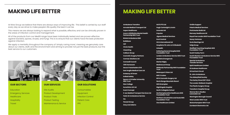# **MAKING LIFE BETTER**

At Nine Group we believe that there are always ways of improving life. This belief is carried by our staff every day as we strive to make people's life quality the best it can be.

This means we are always looking to expand what is possible, effective, and can be clinically proven in the areas of infection control and management.

**Education** Emergency Services **Healthcare Hospitality** Travel



All of the products from our Medi9 range have been individually tested and are proven effective against bacteria, spores, viruses, and fungi. This is to ensure that our clients have the best protection against infection.

> Consumables Equipment Infection Control Patient Care PPF

We apply a mentality throughout the company of 'simply caring more', meaning we genuinely care about our clients, staff, and the environment and aiming to provide not just the best products, but the best service to our customers.



### **OUR SECTORS OUR SERVICES OUR SOLUTIONS**

Site Audits Product Development Product Trials Product Testing Maintenance & Service



## **MAKING LIFE BETTER**

| <b>Ambulance Transfers</b>                                      | <b>HATS PTS Ltd</b>                                              |
|-----------------------------------------------------------------|------------------------------------------------------------------|
| <b>Amvale Medical Transport Ltd</b>                             | <b>Hugh Cartwright &amp; Amin</b>                                |
| <b>Aspen Healthcare</b>                                         | Innovolo Ltd                                                     |
| Avon & Whiltshire Mental Health<br><b>Partnership NHS Trust</b> | <b>Impulse</b>                                                   |
| <b>Bristol Ambulance EMS</b>                                    | <b>Jigsaw Medical Services</b>                                   |
| <b>Buildbase</b>                                                | <b>Kent Central</b>                                              |
| <b>CEF</b>                                                      | <b>HCA International Ltd</b>                                     |
| <b>Circle Health</b>                                            | Hospital of St John & St Elizabeth                               |
|                                                                 | <b>InHealth</b>                                                  |
| <b>CleanKing</b>                                                | <b>Kettering General Hospital NHS</b><br><b>Foundation Trust</b> |
| <b>Collison Group</b>                                           |                                                                  |
| <b>Cosmetic Surgery Partners</b>                                | London Ambulance Service NHS Trust                               |
| <b>Cormac Solutions Ltd</b>                                     | <b>Madeira Emergencia</b>                                        |
| <b>Cornwall Council</b>                                         | <b>Marian Rigby</b>                                              |
| <b>CRG Homecare</b>                                             | <b>Medrescue Group</b>                                           |
| <b>Devon Freewheelers EVS</b>                                   | <b>Midlands Partnership NHS Foundation</b>                       |
| <b>East Anglia Medical Care Ltd</b>                             | <b>Trust</b>                                                     |
| <b>Embassy of Oman</b>                                          | <b>Motorsport Vision Ltd</b>                                     |
| <b>Enfield Safety</b>                                           | <b>MSC Cruises</b>                                               |
| <b>Epsom &amp; St Helier University</b>                         | <b>MYA Cosmetic Surgery Ltd</b>                                  |
| <b>NHS Trust</b>                                                | <b>Nevis Range Mountain Resort</b>                               |
| <b>Eton College</b>                                             | <b>NHS Grampian</b>                                              |
| <b>Euroclinics UK Ltd</b>                                       | <b>Nightingale Hospital</b>                                      |
| <b>Event Concept</b>                                            | <b>North Collegiate School</b>                                   |
| E-zec Medical Transport Services Ltd                            | Northamptonshire Healthcare NHS                                  |
| <b>Falck UK Ambulance Service</b>                               | <b>Foundation Trust</b>                                          |
| <b>FIA</b>                                                      | Northern Lincolnshire and Goole NHS<br><b>Foundation Trust</b>   |
| <b>Floreat Group</b>                                            | <b>One Healthcare Limited</b>                                    |
| <b>Gray and Adams</b>                                           |                                                                  |

|                    | <b>OnSite Support</b>                                                 |
|--------------------|-----------------------------------------------------------------------|
| 'n                 | <b>Polaris Medical Services</b>                                       |
|                    | Portchester Build Ltd                                                 |
|                    | <b>Ramsay Healthcare UK</b>                                           |
| S                  | <b>Royal Free London NHS Foundation Trust</b>                         |
|                    | <b>Savoy Ventures</b>                                                 |
|                    | <b>Scots Bearings Ltd</b>                                             |
| Elizabeth          | <b>Selig Group</b>                                                    |
| ital NHS           | <b>Sheffield Teaching Hospitals NHS</b><br><b>Foundation Trust</b>    |
|                    | <b>South Fawley Farm</b>                                              |
| vice NHS Trust     | <b>South Western Ambulance Service NHS</b><br><b>Foundation Trust</b> |
|                    | <b>Special Ambulance</b><br><b>Transfer Services</b>                  |
|                    | <b>Spirit Healthcare Limited</b>                                      |
| IHS Foundation     | <b>St Andrews Healthcare</b>                                          |
|                    | <b>St Eval Kart Circuit</b>                                           |
|                    | <b>St. John Ambulance</b>                                             |
| Ltd                | <b>The Abbeyfield Society</b>                                         |
| <b>Resort</b>      | <b>The Harley Street ENT Clinic</b>                                   |
|                    | The London Welbeck Hospital                                           |
|                    | <b>The Plastic Surgery Group</b>                                      |
|                    | <b>Transform Hospital Group</b>                                       |
| <b>Ithcare NHS</b> | <b>Warner Bro's Studios</b><br>Leavesden Ltd                          |
| nd Goole NHS       | <b>Warrington Borough Council</b>                                     |
|                    | <b>West London NHS Trust</b>                                          |
|                    | <b>Wolverhampton NHS Trust</b>                                        |
|                    | <b>Zumbach Electronics Ltd</b>                                        |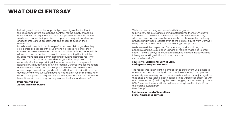# **WHAT OUR CLIENTS SAY**

"Following a robust supplier appraisal process, Jigsaw Medical took the decision to award an exclusive contract for the supply of medical consumables and equipment to Nine Group International. Our decision was based around their promise to outperform on quality and service and further to various assessments and checks to support their assertions.

I can honestly say that they have performed every bit as good as they said, across all aspects of the supply chain process. As part of their commitment we were offered access to an online ordering portal, which allows us to implement an approval process reducing the time taken by base managers and admin staff and providing accurate real time reports to our accounts team and managers. This has proved to be extremely effective in providing information to senior management, helping us with budget and growth forecasts. Our Locality Base Managers have seen the benefit and really appreciate the speed in which their orders are processed, and goods delivered to them with Nine Groups next day delivery service. We would have no hesitation in recommending Nine Group for supply chain requirements both large and small and we intend to continue with our strong working relationship for years to come."

**Chris Percival, CEO, Jigsaw Medical Services** "We have been working very closely with Nine group to bring new products and cleaning materials into the trust. We have found them to be a very professional and conscientious company; when we have had issues with stock levels, they have worked tirelessly to provide us with their products, even to the point of driving from Cornwall with products in their car in the late evening to support us.

We have used their wipes and floor cleaning products during the pandemic and have also been using their fogging machines to great effect. They are always innovating and sharing new technology with us. It is a great working relationship which we now use on all our sites."

### **Paul Norris, Operational Service Lead, Basingstoke Hospital NHS Trust**

"The fogger was lightweight in comparison to our current unit, simple to operate and quick to use. By simple direction of the 'fog', the operator can easily ensure every part of the vehicle is sanitised. A major benefit is that, once dry, the vehicle does not need to be wiped over again (as with our current system), reducing the overall fogging process time by at least 30%. These results clearly illustrate the sanitising benefits of Medi9 and the fogging system from Nine Group."

#### **Rob Johnson, Head of Operations, Bristol Ambulance Services**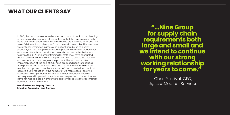"In 2017, the decision was taken by infection control to look at the cleaning processes and procedures after identifying that the trust was currently using significant quantities of chlorine-based disinfectants daily, and this was of detriment to patients, staff and the environment. Facilities services were intently interested in improving patient care by using quality products, so Nine Group were invited to present alternative products for evaluation. Nine Group conducted an audit and worked with the trust to revise the SOPS implement training for staff. They have conducted regular site visits after the initial implementation to ensure we maintain a consistently correct usage of the product. The six months after implementation at the end of 2018 have produced positive feedback from patients and staff. Ease of use and the non-toxic formulas have resulted in improved compliance from staff and it has helped the Trust achieve a 30% reduction in the number of C.difficile cases. Following successful full implementation and due to our advanced cleaning techniques and improved procedures, we are pleased to report that we have not had to close an entire ward due to viral gastroenteritis infection outbreak for twelve months."

#### **Maurice Madeo, Deputy Director Infection Prevention and Control.**

**"...Nine Group for supply chain requirements both large and small and we intend to continue with our strong working relationship for years to come."**

> Chris Percival, CEO, Jigsaw Medical Services

# **WHAT OUR CLIENTS SAY**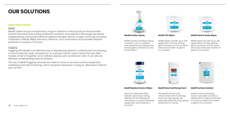# **OUR SOLUTIONS**

#### **INFECTION CONTROL**

#### Medi9

Medi9 is Nine Group's revolutionary range of infection control products that provides alcohol free hand and surface protection solutions. All products in the range are tested independently, and proven effective against bacteria, spores, viruses, and fungi, including Clostridium Difficile, MRSA, Norovirus, Swine Flu, and Coronavirus and provides residual protection in excess of 18 hours.

### Fogging

Fogging with Medi9 is an effective way of disinfecting airborne contaminants and leaving a monomolecular layer of protection on surfaces, hard to reach areas that are often missed, small or forgotten, and confined spaces such as extractor units. It can also be effective at disinfecting vertical surfaces.

The use of Medi9 fogging removes the need to cover or remove medical equipment, metalware and soft furnishings, which would be necessary if using an alternative method such as HPV.





Medi9 Surface Sanitising Spray is ready to use on surfaces and equipment providing easy instant germ protection to any environment.

#### **Medi9 Surface Spray**

Medi9 wipes provide up to 225 applications of long-lasting germ protection to any surface where the transfer of germs is a concern.





### **Medi9 225 Wipes**

Medi9 wipes provide up to 225 applications of long-lasting germ protection to the hands and body where the transfer of germs is a concern.

#### **Medi9 Hand & Body Wipes**

Each pre-saturated wipe delivers rapid, long-lasting disinfection and biological cleanliness to medical devices, equipment, and surfaces in seconds.



#### **Medi9 Medical Device Wipes**

The Medi9 alcohol and chlorine free Hand Sanitising Foam provides gentle, yet extremely effective, long lasting disinfection to hands.





Medi9 Surface Sanitising Solution provides numerous applications of germ protection to surfaces where the transfer of germs is a concern.

#### **Medi9 Surface Solution**

**10** - www.ninegrp.com

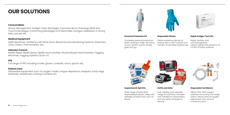# **OUR SOLUTIONS**

#### **Consumables**

Airway Management, Antigen Tests, Bandages, Cannulas, Burns Dressings, Blast and Trauma Bandages, Conforming Bandages, ECG Electrodes, Syringes, Stabilisers, IV Giving Sets, Lancets etc.

#### **Medical Equipment**

Defib Machines, Ventilators, NIO Bone Guns, Blood Glucose Monitoring Systems, Stretchers, Carry Chairs, Thermometers, etc.

#### **Infection Control**

Medi9 Wipes, Medi9 Spray, Medi9 Hand Sanitiser, Alcohol Based Hand Sanitiser, Fogging Machines, Fogging Systems (built-in)

#### **PPE**

Full range of PPE including masks, gloves, coveralls, visors, aprons etc.

### **Patient Care**

Disposable equipment such as oxygen masks, tongue depressors, bedpans, body bags, stretches, wheelchairs, training manikins etc.



Complete personal protection when working in high-risk areas. All you need in one kit. Simply grab and go.

#### **Personal Protection Kit**

Sterile, protective gloves to reduce skin to skin contact and transfer of harmless substances.





#### **Disposable Gloves**

Rapid, reliable, and chromatographic. Used to detect the presence of COVID-19 within patients.



#### **Rapid Antigen Test Kits**

Wide range of body fluid disposable products. Helps with spillages of body fluid, such as blood.

#### **SuperAbsorb Spil Kits**

Fast, reliable, and versatile range of machines. Portable and suitable for paramedics and any other emergency service.

**DeFib and AEDs**

Alllows 50%-100% oxygen selection by turning one single switch. Allows manual oxygen adjustment with second connection port.

#### **Disposable Ventilators**



|     | o ulue                                                                                            |
|-----|---------------------------------------------------------------------------------------------------|
|     | Covid19 Rapid Antigen Test Kit                                                                    |
|     |                                                                                                   |
|     | <b>SUPER PURSUES AND</b>                                                                          |
| ona | <b>COMPANY</b><br><b>ARP</b>                                                                      |
|     | $\mathbf{H}^{\text{H}}\mathbf{V}_{\text{G}}\equiv\mathbf{H}^{\text{G}}\cdot\mathbf{H}^{\text{G}}$ |
|     |                                                                                                   |
|     |                                                                                                   |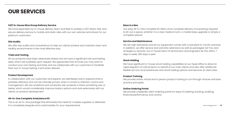## **OUR SERVICES**

### **24/7 In-House Nine Group Delivery Service**

We have expanded our in-house delivery team and fleet to enable a 24/7 direct, fast, and secure delivery service to mobile and static sites with our own vehicles and drivers for our platinum customers.

### **Site Audits**

We offer site audits and consultations to help our clients achieve and maintain clean and healthy environments in the most effective way.

### **Trials and Testing**

All our products have been extensively tested and we have a significant trial and testing data, which are available upon request. We appreciate that at times you may want to conduct your own testing and trials and we collaborate with our customers to facilitate their own in-house testing, if and when desired.

This is an All-In-One package that eliminates the need for multiple suppliers or deliveries. It is completely bespoke and customisable, for your requirements.

#### **Product Development**

In collaboration with our customers and experts, we relentlessly look to expand what is possible, effective, and can be clinically proven, when it comes to infection control and management. We are analytical and constantly ask ourselves is there something new or better, which would considerably improve today's options and work extensively with our clients on product development.

We have significant in-house stock holding capabilities at our Head office to allow for rapid dispatch of critical items on behalf of our main clients and also offer additional flexible ad-hoc local warehouse and stock holding options and services at client sites.

### **All-In-One Complete Ambulance Kit**

#### **Base in a Box**

Our easy All-In-One Complete Kit offers once complete delivery of everything required to kit-out a space, whether it is a new medical room, a mobile base upgrade or simply a complete restock.

### **Service and Maintenance**

We set high standards and all our equipment comes with a standard 12-month warranty. In addition, we offer service and warranty extensions as well as packaged, ad-hoc and emergency services. Our in-house team of technicians and engineers do this 24hrs, 7 days a week, 365 days a year.

### **Stock Holding**

#### **Product Training**

We provide online, virtual and in person product training to run through choices and best practice principles.

#### **Online Ordering Portal**

We provide a bespoke client ordering portal for ease of ordering, tracking, auditing, financial performance, and control.